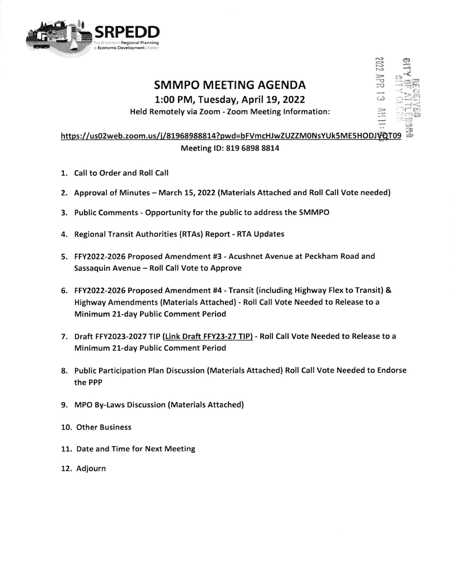

## **SMMPO MEETING AGENDA**

1:00 PM, Tuesday, April 19, 2022

Held Remotely via Zoom - Zoom Meeting Information:

## https://us02web.zoom.us/j/81968988814?pwd=bFVmcHJwZUZZM0NsYUk5ME5HODJVQT09 Meeting ID: 819 6898 8814

- 1. Call to Order and Roll Call
- 2. Approval of Minutes March 15, 2022 (Materials Attached and Roll Call Vote needed)
- 3. Public Comments Opportunity for the public to address the SMMPO
- 4. Regional Transit Authorities (RTAs) Report RTA Updates
- 5. FFY2022-2026 Proposed Amendment #3 Acushnet Avenue at Peckham Road and Sassaquin Avenue - Roll Call Vote to Approve
- 6. FFY2022-2026 Proposed Amendment #4 Transit (including Highway Flex to Transit) & Highway Amendments (Materials Attached) - Roll Call Vote Needed to Release to a Minimum 21-day Public Comment Period
- 7. Draft FFY2023-2027 TIP (Link Draft FFY23-27 TIP) Roll Call Vote Needed to Release to a Minimum 21-day Public Comment Period
- 8. Public Participation Plan Discussion (Materials Attached) Roll Call Vote Needed to Endorse the PPP
- 9. MPO By-Laws Discussion (Materials Attached)
- 10. Other Business
- 11. Date and Time for Next Meeting
- 12. Adjourn